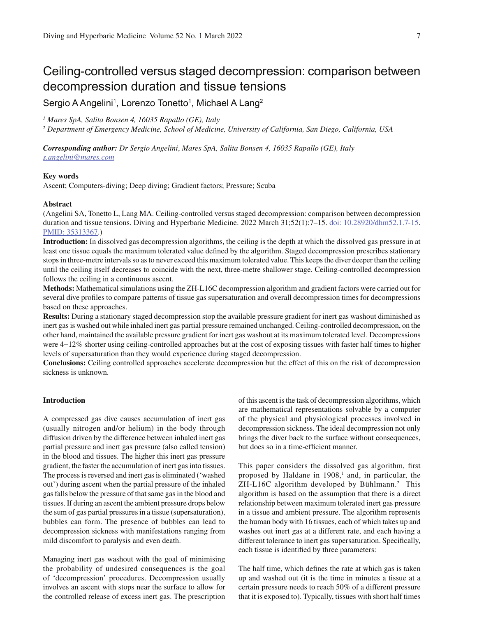Sergio A Angelini<sup>1</sup>, Lorenzo Tonetto<sup>1</sup>, Michael A Lang<sup>2</sup>

*1 Mares SpA, Salita Bonsen 4, 16035 Rapallo (GE), Italy*

*2 Department of Emergency Medicine, School of Medicine, University of California, San Diego, California, USA*

*Corresponding author: Dr Sergio Angelini*, *Mares SpA, Salita Bonsen 4, 16035 Rapallo (GE), Italy s.angelini@mares.com*

# **Key words**

Ascent; Computers-diving; Deep diving; Gradient factors; Pressure; Scuba

# **Abstract**

(Angelini SA, Tonetto L, Lang MA. Ceiling-controlled versus staged decompression: comparison between decompression duration and tissue tensions. Diving and Hyperbaric Medicine. 2022 March 31;52(1):7–15. doi: 10.28920/dhm52.1.7-15. PMID: 35313367.)

**Introduction:** In dissolved gas decompression algorithms, the ceiling is the depth at which the dissolved gas pressure in at least one tissue equals the maximum tolerated value defined by the algorithm. Staged decompression prescribes stationary stops in three-metre intervals so as to never exceed this maximum tolerated value. This keeps the diver deeper than the ceiling until the ceiling itself decreases to coincide with the next, three-metre shallower stage. Ceiling-controlled decompression follows the ceiling in a continuous ascent.

**Methods:** Mathematical simulations using the ZH-L16C decompression algorithm and gradient factors were carried out for several dive profiles to compare patterns of tissue gas supersaturation and overall decompression times for decompressions based on these approaches.

**Results:** During a stationary staged decompression stop the available pressure gradient for inert gas washout diminished as inert gas is washed out while inhaled inert gas partial pressure remained unchanged. Ceiling-controlled decompression, on the other hand, maintained the available pressure gradient for inert gas washout at its maximum tolerated level. Decompressions were 4−12% shorter using ceiling-controlled approaches but at the cost of exposing tissues with faster half times to higher levels of supersaturation than they would experience during staged decompression.

**Conclusions:** Ceiling controlled approaches accelerate decompression but the effect of this on the risk of decompression sickness is unknown.

# **Introduction**

A compressed gas dive causes accumulation of inert gas (usually nitrogen and/or helium) in the body through diffusion driven by the difference between inhaled inert gas partial pressure and inert gas pressure (also called tension) in the blood and tissues. The higher this inert gas pressure gradient, the faster the accumulation of inert gas into tissues. The process is reversed and inert gas is eliminated ('washed out') during ascent when the partial pressure of the inhaled gas falls below the pressure of that same gas in the blood and tissues. If during an ascent the ambient pressure drops below the sum of gas partial pressures in a tissue (supersaturation), bubbles can form. The presence of bubbles can lead to decompression sickness with manifestations ranging from mild discomfort to paralysis and even death.

Managing inert gas washout with the goal of minimising the probability of undesired consequences is the goal of 'decompression' procedures. Decompression usually involves an ascent with stops near the surface to allow for the controlled release of excess inert gas. The prescription of this ascent is the task of decompression algorithms, which are mathematical representations solvable by a computer of the physical and physiological processes involved in decompression sickness. The ideal decompression not only brings the diver back to the surface without consequences, but does so in a time-efficient manner.

This paper considers the dissolved gas algorithm, first proposed by Haldane in  $1908$ ,<sup>1</sup> and, in particular, the ZH-L16C algorithm developed by Bühlmann.<sup>2</sup> This algorithm is based on the assumption that there is a direct relationship between maximum tolerated inert gas pressure in a tissue and ambient pressure. The algorithm represents the human body with 16 tissues, each of which takes up and washes out inert gas at a different rate, and each having a different tolerance to inert gas supersaturation. Specifically, each tissue is identified by three parameters:

The half time, which defines the rate at which gas is taken up and washed out (it is the time in minutes a tissue at a certain pressure needs to reach 50% of a different pressure that it is exposed to). Typically, tissues with short half times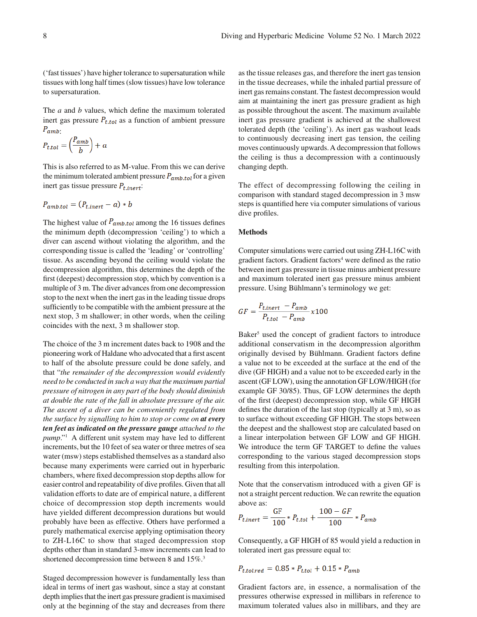('fast tissues') have higher tolerance to supersaturation while tissues with long half times (slow tissues) have low tolerance to supersaturation.

The  $a$  and  $b$  values, which define the maximum tolerated inert gas pressure  $P_{t,tol}$  as a function of ambient pressure  $P_{amb}$ .

$$
P_{t,tol} = \left(\frac{P_{amb}}{b}\right) + a
$$

This is also referred to as M-value. From this we can derive the minimum tolerated ambient pressure  $P_{amb,tol}$  for a given inert gas tissue pressure  $P_{t.inert}$ :

$$
P_{amb.tol} = (P_{t.inert} - a) * b
$$

The highest value of  $P_{amb,tol}$  among the 16 tissues defines the minimum depth (decompression 'ceiling') to which a diver can ascend without violating the algorithm, and the corresponding tissue is called the 'leading' or 'controlling' tissue. As ascending beyond the ceiling would violate the decompression algorithm, this determines the depth of the first (deepest) decompression stop, which by convention is a multiple of 3 m. The diver advances from one decompression stop to the next when the inert gas in the leading tissue drops sufficiently to be compatible with the ambient pressure at the next stop, 3 m shallower; in other words, when the ceiling coincides with the next, 3 m shallower stop.

The choice of the 3 m increment dates back to 1908 and the pioneering work of Haldane who advocated that a first ascent to half of the absolute pressure could be done safely, and that "*the remainder of the decompression would evidently need to be conducted in such a way that the maximum partial pressure of nitrogen in any part of the body should diminish at double the rate of the fall in absolute pressure of the air. The ascent of a diver can be conveniently regulated from the surface by signalling to him to stop or come on at every ten feet as indicated on the pressure gauge attached to the pump*."1 A different unit system may have led to different increments, but the 10 feet of sea water or three metres of sea water (msw) steps established themselves as a standard also because many experiments were carried out in hyperbaric chambers, where fixed decompression stop depths allow for easier control and repeatability of dive profiles. Given that all validation efforts to date are of empirical nature, a different choice of decompression stop depth increments would have yielded different decompression durations but would probably have been as effective. Others have performed a purely mathematical exercise applying optimisation theory to ZH-L16C to show that staged decompression stop depths other than in standard 3-msw increments can lead to shortened decompression time between 8 and 15%.<sup>3</sup>

Staged decompression however is fundamentally less than ideal in terms of inert gas washout, since a stay at constant depth implies that the inert gas pressure gradient is maximised only at the beginning of the stay and decreases from there as the tissue releases gas, and therefore the inert gas tension in the tissue decreases, while the inhaled partial pressure of inert gas remains constant. The fastest decompression would aim at maintaining the inert gas pressure gradient as high as possible throughout the ascent. The maximum available inert gas pressure gradient is achieved at the shallowest tolerated depth (the 'ceiling'). As inert gas washout leads to continuously decreasing inert gas tension, the ceiling moves continuously upwards. A decompression that follows the ceiling is thus a decompression with a continuously changing depth.

The effect of decompressing following the ceiling in comparison with standard staged decompression in 3 msw steps is quantified here via computer simulations of various dive profiles.

#### **Methods**

Computer simulations were carried out using ZH-L16C with gradient factors. Gradient factors<sup>4</sup> were defined as the ratio between inert gas pressure in tissue minus ambient pressure and maximum tolerated inert gas pressure minus ambient pressure. Using Bühlmann's terminology we get:

$$
GF = \frac{P_{t.inert} - P_{amb}}{P_{t.tol} - P_{amb}} \times 100
$$

Baker<sup>5</sup> used the concept of gradient factors to introduce additional conservatism in the decompression algorithm originally devised by Bühlmann. Gradient factors define a value not to be exceeded at the surface at the end of the dive (GF HIGH) and a value not to be exceeded early in the ascent (GF LOW), using the annotation GF LOW/HIGH (for example GF 30/85). Thus, GF LOW determines the depth of the first (deepest) decompression stop, while GF HIGH defines the duration of the last stop (typically at  $3 \text{ m}$ ), so as to surface without exceeding GF HIGH. The stops between the deepest and the shallowest stop are calculated based on a linear interpolation between GF LOW and GF HIGH. We introduce the term GF TARGET to define the values corresponding to the various staged decompression stops resulting from this interpolation.

Note that the conservatism introduced with a given GF is not a straight percent reduction. We can rewrite the equation above as:

$$
P_{t.inert} = \frac{GF}{100} * P_{t.tol} + \frac{100 - GF}{100} * P_{amb}
$$

Consequently, a GF HIGH of 85 would yield a reduction in tolerated inert gas pressure equal to:

$$
P_{t.tol.red} = 0.85 * P_{t.tol} + 0.15 * P_{amb}
$$

Gradient factors are, in essence, a normalisation of the pressures otherwise expressed in millibars in reference to maximum tolerated values also in millibars, and they are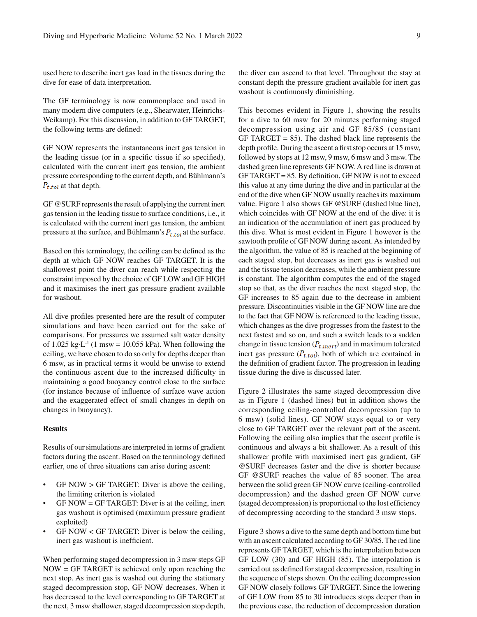used here to describe inert gas load in the tissues during the dive for ease of data interpretation.

The GF terminology is now commonplace and used in many modern dive computers (e.g., Shearwater, Heinrichs-Weikamp). For this discussion, in addition to GF TARGET, the following terms are defined:

GF NOW represents the instantaneous inert gas tension in the leading tissue (or in a specific tissue if so specified), calculated with the current inert gas tension, the ambient pressure corresponding to the current depth, and Bühlmann's  $P_{t,tol}$  at that depth.

GF @SURF represents the result of applying the current inert gas tension in the leading tissue to surface conditions, i.e., it is calculated with the current inert gas tension, the ambient pressure at the surface, and Bühlmann's  $P_{t,tol}$  at the surface.

Based on this terminology, the ceiling can be defined as the depth at which GF NOW reaches GF TARGET. It is the shallowest point the diver can reach while respecting the constraint imposed by the choice of GF LOW and GF HIGH and it maximises the inert gas pressure gradient available for washout.

All dive profiles presented here are the result of computer simulations and have been carried out for the sake of comparisons. For pressures we assumed salt water density of 1.025 kg·L<sup>-1</sup> (1 msw = 10.055 kPa). When following the ceiling, we have chosen to do so only for depths deeper than 6 msw, as in practical terms it would be unwise to extend the continuous ascent due to the increased difficulty in maintaining a good buoyancy control close to the surface (for instance because of influence of surface wave action and the exaggerated effect of small changes in depth on changes in buoyancy).

# **Results**

Results of our simulations are interpreted in terms of gradient factors during the ascent. Based on the terminology defined earlier, one of three situations can arise during ascent:

- $GF NOW > GF TARGE$ : Diver is above the ceiling, the limiting criterion is violated
- $GF NOW = GF TARGET: Diver is at the ceiling, inert$ gas washout is optimised (maximum pressure gradient exploited)
- GF NOW  $\leq$  GF TARGET: Diver is below the ceiling, inert gas washout is inefficient.

When performing staged decompression in 3 msw steps GF NOW = GF TARGET is achieved only upon reaching the next stop. As inert gas is washed out during the stationary staged decompression stop, GF NOW decreases. When it has decreased to the level corresponding to GF TARGET at the next, 3 msw shallower, staged decompression stop depth, the diver can ascend to that level. Throughout the stay at constant depth the pressure gradient available for inert gas washout is continuously diminishing.

This becomes evident in Figure 1, showing the results for a dive to 60 msw for 20 minutes performing staged decompression using air and GF 85/85 (constant  $GF TARGET = 85$ ). The dashed black line represents the depth profile. During the ascent a first stop occurs at 15 msw, followed by stops at 12 msw, 9 msw, 6 msw and 3 msw. The dashed green line represents GF NOW. A red line is drawn at  $GF TARGET = 85$ . By definition,  $GF NOW$  is not to exceed this value at any time during the dive and in particular at the end of the dive when GF NOW usually reaches its maximum value. Figure 1 also shows GF @SURF (dashed blue line), which coincides with GF NOW at the end of the dive: it is an indication of the accumulation of inert gas produced by this dive. What is most evident in Figure 1 however is the sawtooth profile of GF NOW during ascent. As intended by the algorithm, the value of 85 is reached at the beginning of each staged stop, but decreases as inert gas is washed out and the tissue tension decreases, while the ambient pressure is constant. The algorithm computes the end of the staged stop so that, as the diver reaches the next staged stop, the GF increases to 85 again due to the decrease in ambient pressure. Discontinuities visible in the GF NOW line are due to the fact that GF NOW is referenced to the leading tissue, which changes as the dive progresses from the fastest to the next fastest and so on, and such a switch leads to a sudden change in tissue tension  $(P_{t.inert})$  and in maximum tolerated inert gas pressure  $(P_{t,tol})$ , both of which are contained in the definition of gradient factor. The progression in leading tissue during the dive is discussed later.

Figure 2 illustrates the same staged decompression dive as in Figure 1 (dashed lines) but in addition shows the corresponding ceiling-controlled decompression (up to 6 msw) (solid lines). GF NOW stays equal to or very close to GF TARGET over the relevant part of the ascent. Following the ceiling also implies that the ascent profile is continuous and always a bit shallower. As a result of this shallower profile with maximised inert gas gradient, GF @SURF decreases faster and the dive is shorter because GF @SURF reaches the value of 85 sooner. The area between the solid green GF NOW curve (ceiling-controlled decompression) and the dashed green GF NOW curve (staged decompression) is proportional to the lost efficiency of decompressing according to the standard 3 msw stops.

Figure 3 shows a dive to the same depth and bottom time but with an ascent calculated according to GF 30/85. The red line represents GF TARGET, which is the interpolation between GF LOW (30) and GF HIGH (85). The interpolation is carried out as defined for staged decompression, resulting in the sequence of steps shown. On the ceiling decompression GF NOW closely follows GF TARGET. Since the lowering of GF LOW from 85 to 30 introduces stops deeper than in the previous case, the reduction of decompression duration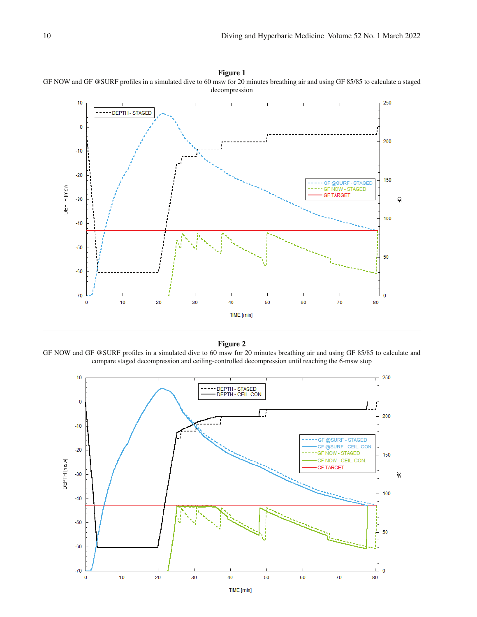



GF NOW and GF @SURF profiles in a simulated dive to 60 msw for 20 minutes breathing air and using GF 85/85 to calculate and compare staged decompression and ceiling-controlled decompression until reaching the 6-msw stop

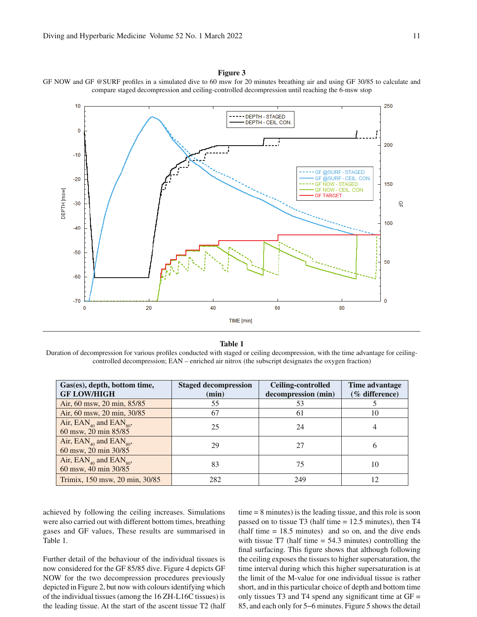

GF NOW and GF @SURF profiles in a simulated dive to 60 msw for 20 minutes breathing air and using GF 30/85 to calculate and compare staged decompression and ceiling-controlled decompression until reaching the 6-msw stop

#### **Table 1**

Duration of decompression for various profiles conducted with staged or ceiling decompression, with the time advantage for ceilingcontrolled decompression; EAN – enriched air nitrox (the subscript designates the oxygen fraction)

| Gas(es), depth, bottom time,<br><b>GF LOW/HIGH</b> | <b>Staged decompression</b><br>(min) | Ceiling-controlled<br>decompression (min) | Time advantage<br>(% difference) |
|----------------------------------------------------|--------------------------------------|-------------------------------------------|----------------------------------|
|                                                    |                                      |                                           |                                  |
| Air, 60 msw, 20 min, 85/85                         | 55                                   | 53                                        |                                  |
| Air, 60 msw, 20 min, 30/85                         | 67                                   | 61                                        | 10                               |
| Air, $EAN_{_{40}}$ and $EAN_{_{80}}$ ,             |                                      |                                           |                                  |
| 60 msw, 20 min 85/85                               | 25                                   | 24                                        | 4                                |
| Air, $EAN_{40}$ and $EAN_{80}$ ,                   | 29                                   | 27                                        |                                  |
| 60 msw, 20 min 30/85                               |                                      |                                           | 6                                |
| Air, $EAN_{40}$ and $EAN_{80}$ ,                   | 83                                   | 75                                        | 10                               |
| 60 msw, 40 min 30/85                               |                                      |                                           |                                  |
| Trimix, 150 msw, 20 min, 30/85                     | 282                                  | 249                                       | 12                               |

achieved by following the ceiling increases. Simulations were also carried out with different bottom times, breathing gases and GF values, These results are summarised in Table 1.

Further detail of the behaviour of the individual tissues is now considered for the GF 85/85 dive. Figure 4 depicts GF NOW for the two decompression procedures previously depicted in Figure 2, but now with colours identifying which of the individual tissues (among the 16 ZH-L16C tissues) is the leading tissue. At the start of the ascent tissue T2 (half time = 8 minutes) is the leading tissue, and this role is soon passed on to tissue T3 (half time = 12.5 minutes), then T4  $(half time = 18.5 minutes)$  and so on, and the dive ends with tissue  $T7$  (half time  $= 54.3$  minutes) controlling the final surfacing. This figure shows that although following the ceiling exposes the tissues to higher supersaturation, the time interval during which this higher supersaturation is at the limit of the M-value for one individual tissue is rather short, and in this particular choice of depth and bottom time only tissues T3 and T4 spend any significant time at  $GF =$ 85, and each only for 5−6 minutes. Figure 5 shows the detail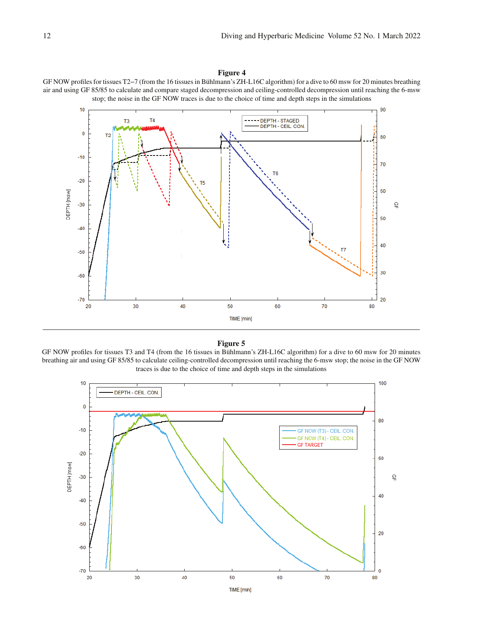



#### **Figure 5**

GF NOW profiles for tissues T3 and T4 (from the 16 tissues in Bühlmann's ZH-L16C algorithm) for a dive to 60 msw for 20 minutes breathing air and using GF 85/85 to calculate ceiling-controlled decompression until reaching the 6-msw stop; the noise in the GF NOW traces is due to the choice of time and depth steps in the simulations

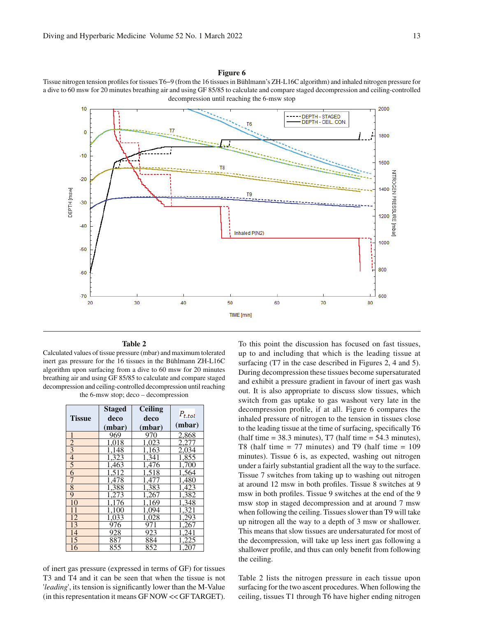Tissue nitrogen tension profiles for tissues T6−9 (from the 16 tissues in Bühlmann's ZH-L16C algorithm) and inhaled nitrogen pressure for a dive to 60 msw for 20 minutes breathing air and using GF 85/85 to calculate and compare staged decompression and ceiling-controlled decompression until reaching the 6-msw stop



#### **Table 2**

Calculated values of tissue pressure (mbar) and maximum tolerated inert gas pressure for the 16 tissues in the Bühlmann ZH-L16C algorithm upon surfacing from a dive to 60 msw for 20 minutes breathing air and using GF 85/85 to calculate and compare staged decompression and ceiling-controlled decompression until reaching the 6-msw stop; deco – decompression

|                 | <b>Staged</b> | <b>Ceiling</b>  |             |
|-----------------|---------------|-----------------|-------------|
| <b>Tissue</b>   | deco          | deco            | $P_{t.tol}$ |
|                 | (mbar)        | (mbar)          | (mbar)      |
| 1               | 969           | 970             | 2,868       |
| $\overline{2}$  | 1,018         | 1,023           | 2,277       |
| $\overline{3}$  | 1,148         | 1,163           | 2,034       |
| $\overline{4}$  | 1,323         | 1,341           | 1,855       |
| $\overline{5}$  | 1,463         | 1,476           | 1.700       |
| 6               | 1,512         | 1,518           | 1,564       |
|                 | 1,478         | 1,477           | 1,480       |
| 8               | 1,388         | 1,383           | 1,423       |
| 9               | 1.273         | 1.267           | 1,382       |
| 10              | 1.176         | 1,169           | 1,348       |
| 11              | 1.100         | 1,094           | 1,321       |
| $\overline{12}$ | 1,033         | 1,028           | 1,293       |
| $1\overline{3}$ | 976           | $\frac{1}{971}$ | .267        |
| 14              | 928           | 923             |             |
| 15              | 887           | 884             |             |
| 16              | 855           | 852             |             |

of inert gas pressure (expressed in terms of GF) for tissues T3 and T4 and it can be seen that when the tissue is not '*leading*', its tension is significantly lower than the M-Value (in this representation it means GF NOW << GF TARGET). To this point the discussion has focused on fast tissues, up to and including that which is the leading tissue at surfacing (T7 in the case described in Figures 2, 4 and 5). During decompression these tissues become supersaturated and exhibit a pressure gradient in favour of inert gas wash out. It is also appropriate to discuss slow tissues, which switch from gas uptake to gas washout very late in the decompression profile, if at all. Figure 6 compares the inhaled pressure of nitrogen to the tension in tissues close to the leading tissue at the time of surfacing, specifically T6 (half time  $= 38.3$  minutes), T7 (half time  $= 54.3$  minutes), T8 (half time  $= 77$  minutes) and T9 (half time  $= 109$ minutes). Tissue 6 is, as expected, washing out nitrogen under a fairly substantial gradient all the way to the surface. Tissue 7 switches from taking up to washing out nitrogen at around 12 msw in both profiles. Tissue 8 switches at 9 msw in both profiles. Tissue 9 switches at the end of the 9 msw stop in staged decompression and at around 7 msw when following the ceiling. Tissues slower than T9 will take up nitrogen all the way to a depth of 3 msw or shallower. This means that slow tissues are undersaturated for most of the decompression, will take up less inert gas following a shallower profile, and thus can only benefit from following the ceiling.

Table 2 lists the nitrogen pressure in each tissue upon surfacing for the two ascent procedures. When following the ceiling, tissues T1 through T6 have higher ending nitrogen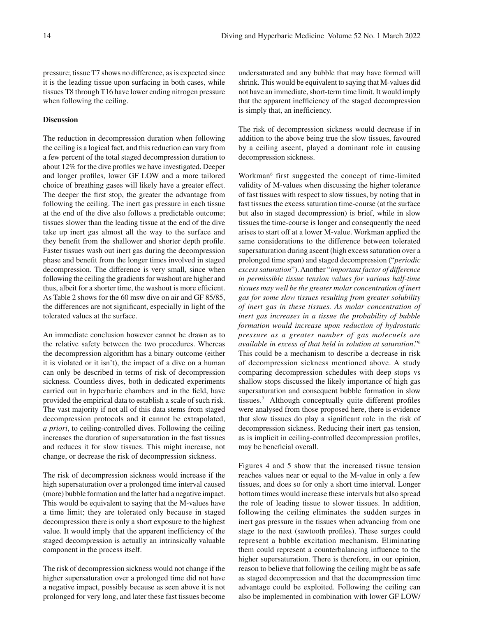pressure; tissue T7 shows no difference, as is expected since it is the leading tissue upon surfacing in both cases, while tissues T8 through T16 have lower ending nitrogen pressure when following the ceiling.

# **Discussion**

The reduction in decompression duration when following the ceiling is a logical fact, and this reduction can vary from a few percent of the total staged decompression duration to about 12% for the dive profiles we have investigated. Deeper and longer profiles, lower GF LOW and a more tailored choice of breathing gases will likely have a greater effect. The deeper the first stop, the greater the advantage from following the ceiling. The inert gas pressure in each tissue at the end of the dive also follows a predictable outcome; tissues slower than the leading tissue at the end of the dive take up inert gas almost all the way to the surface and they benefit from the shallower and shorter depth profile. Faster tissues wash out inert gas during the decompression phase and benefit from the longer times involved in staged decompression. The difference is very small, since when following the ceiling the gradients for washout are higher and thus, albeit for a shorter time, the washout is more efficient. As Table 2 shows for the 60 msw dive on air and GF 85/85, the differences are not significant, especially in light of the tolerated values at the surface.

An immediate conclusion however cannot be drawn as to the relative safety between the two procedures. Whereas the decompression algorithm has a binary outcome (either it is violated or it isn't), the impact of a dive on a human can only be described in terms of risk of decompression sickness. Countless dives, both in dedicated experiments carried out in hyperbaric chambers and in the field, have provided the empirical data to establish a scale of such risk. The vast majority if not all of this data stems from staged decompression protocols and it cannot be extrapolated, *a priori*, to ceiling-controlled dives. Following the ceiling increases the duration of supersaturation in the fast tissues and reduces it for slow tissues. This might increase, not change, or decrease the risk of decompression sickness.

The risk of decompression sickness would increase if the high supersaturation over a prolonged time interval caused (more) bubble formation and the latter had a negative impact. This would be equivalent to saying that the M-values have a time limit; they are tolerated only because in staged decompression there is only a short exposure to the highest value. It would imply that the apparent inefficiency of the staged decompression is actually an intrinsically valuable component in the process itself.

The risk of decompression sickness would not change if the higher supersaturation over a prolonged time did not have a negative impact, possibly because as seen above it is not prolonged for very long, and later these fast tissues become undersaturated and any bubble that may have formed will shrink. This would be equivalent to saying that M-values did not have an immediate, short-term time limit. It would imply that the apparent inefficiency of the staged decompression is simply that, an inefficiency.

The risk of decompression sickness would decrease if in addition to the above being true the slow tissues, favoured by a ceiling ascent, played a dominant role in causing decompression sickness.

Workman<sup>6</sup> first suggested the concept of time-limited validity of M-values when discussing the higher tolerance of fast tissues with respect to slow tissues, by noting that in fast tissues the excess saturation time-course (at the surface but also in staged decompression) is brief, while in slow tissues the time-course is longer and consequently the need arises to start off at a lower M-value. Workman applied the same considerations to the difference between tolerated supersaturation during ascent (high excess saturation over a prolonged time span) and staged decompression ("*periodic excess saturation*"). Another "*important factor of difference in permissible tissue tension values for various half-time tissues may well be the greater molar concentration of inert gas for some slow tissues resulting from greater solubility of inert gas in these tissues. As molar concentration of inert gas increases in a tissue the probability of bubble formation would increase upon reduction of hydrostatic pressure as a greater number of gas molecuels are available in excess of that held in solution at saturation*."6 This could be a mechanism to describe a decrease in risk of decompression sickness mentioned above. A study comparing decompression schedules with deep stops vs shallow stops discussed the likely importance of high gas supersaturation and consequent bubble formation in slow tissues.<sup>7</sup> Although conceptually quite different profiles were analysed from those proposed here, there is evidence that slow tissues do play a significant role in the risk of decompression sickness. Reducing their inert gas tension, as is implicit in ceiling-controlled decompression profiles, may be beneficial overall.

Figures 4 and 5 show that the increased tissue tension reaches values near or equal to the M-value in only a few tissues, and does so for only a short time interval. Longer bottom times would increase these intervals but also spread the role of leading tissue to slower tissues. In addition, following the ceiling eliminates the sudden surges in inert gas pressure in the tissues when advancing from one stage to the next (sawtooth profiles). These surges could represent a bubble excitation mechanism. Eliminating them could represent a counterbalancing influence to the higher supersaturation. There is therefore, in our opinion, reason to believe that following the ceiling might be as safe as staged decompression and that the decompression time advantage could be exploited. Following the ceiling can also be implemented in combination with lower GF LOW/